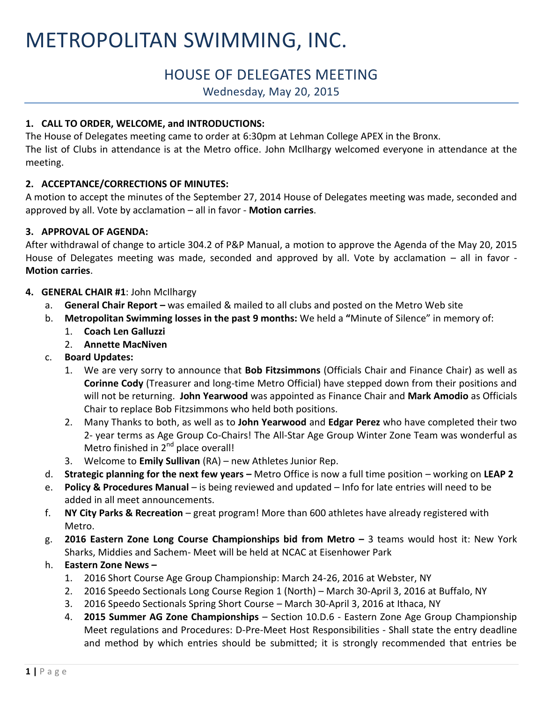# METROPOLITAN SWIMMING, INC.

# HOUSE OF DELEGATES MEETING

Wednesday, May 20, 2015

# **1. CALL TO ORDER, WELCOME, and INTRODUCTIONS:**

The House of Delegates meeting came to order at 6:30pm at Lehman College APEX in the Bronx. The list of Clubs in attendance is at the Metro office. John McIlhargy welcomed everyone in attendance at the meeting.

# **2. ACCEPTANCE/CORRECTIONS OF MINUTES:**

A motion to accept the minutes of the September 27, 2014 House of Delegates meeting was made, seconded and approved by all. Vote by acclamation – all in favor - **Motion carries**.

# **3. APPROVAL OF AGENDA:**

After withdrawal of change to article 304.2 of P&P Manual, a motion to approve the Agenda of the May 20, 2015 House of Delegates meeting was made, seconded and approved by all. Vote by acclamation – all in favor - **Motion carries**.

### **4. GENERAL CHAIR #1**: John McIlhargy

- a. **General Chair Report –** was emailed & mailed to all clubs and posted on the Metro Web site
- b. **Metropolitan Swimming losses in the past 9 months:** We held a **"**Minute of Silence" in memory of:
	- 1. **Coach Len Galluzzi**
	- 2. **Annette MacNiven**
- c. **Board Updates:** 
	- 1. We are very sorry to announce that **Bob Fitzsimmons** (Officials Chair and Finance Chair) as well as **Corinne Cody** (Treasurer and long-time Metro Official) have stepped down from their positions and will not be returning. **John Yearwood** was appointed as Finance Chair and **Mark Amodio** as Officials Chair to replace Bob Fitzsimmons who held both positions.
	- 2. Many Thanks to both, as well as to **John Yearwood** and **Edgar Perez** who have completed their two 2- year terms as Age Group Co-Chairs! The All-Star Age Group Winter Zone Team was wonderful as Metro finished in 2<sup>nd</sup> place overall!
	- 3. Welcome to **Emily Sullivan** (RA) new Athletes Junior Rep.
- d. **Strategic planning for the next few years –** Metro Office is now a full time position working on **LEAP 2**
- e. **Policy & Procedures Manual**  is being reviewed and updated Info for late entries will need to be added in all meet announcements.
- f. **NY City Parks & Recreation** great program! More than 600 athletes have already registered with Metro.
- g. **2016 Eastern Zone Long Course Championships bid from Metro –** 3 teams would host it: New York Sharks, Middies and Sachem- Meet will be held at NCAC at Eisenhower Park
- h. **Eastern Zone News –**
	- 1. 2016 Short Course Age Group Championship: March 24-26, 2016 at Webster, NY
	- 2. 2016 Speedo Sectionals Long Course Region 1 (North) March 30-April 3, 2016 at Buffalo, NY
	- 3. 2016 Speedo Sectionals Spring Short Course March 30-April 3, 2016 at Ithaca, NY
	- 4. **2015 Summer AG Zone Championships** Section 10.D.6 Eastern Zone Age Group Championship Meet regulations and Procedures: D-Pre-Meet Host Responsibilities - Shall state the entry deadline and method by which entries should be submitted; it is strongly recommended that entries be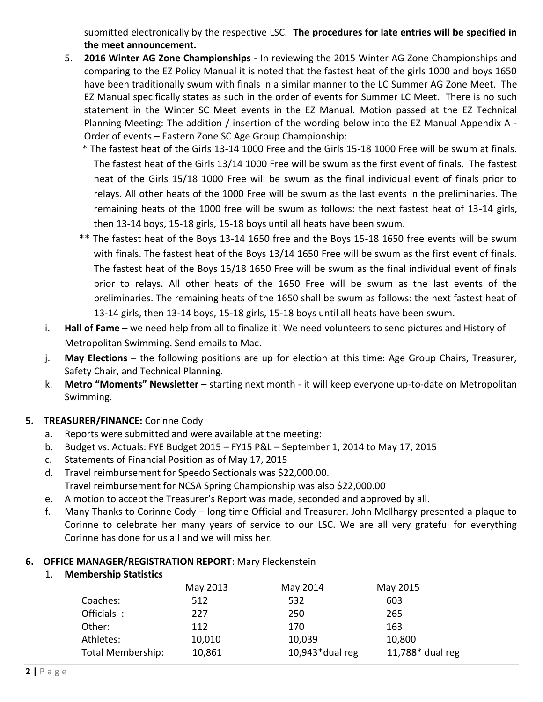submitted electronically by the respective LSC. **The procedures for late entries will be specified in the meet announcement.**

- 5. **2016 Winter AG Zone Championships -** In reviewing the 2015 Winter AG Zone Championships and comparing to the EZ Policy Manual it is noted that the fastest heat of the girls 1000 and boys 1650 have been traditionally swum with finals in a similar manner to the LC Summer AG Zone Meet. The EZ Manual specifically states as such in the order of events for Summer LC Meet. There is no such statement in the Winter SC Meet events in the EZ Manual. Motion passed at the EZ Technical Planning Meeting: The addition / insertion of the wording below into the EZ Manual Appendix A - Order of events – Eastern Zone SC Age Group Championship:
	- \* The fastest heat of the Girls 13-14 1000 Free and the Girls 15-18 1000 Free will be swum at finals. The fastest heat of the Girls 13/14 1000 Free will be swum as the first event of finals. The fastest heat of the Girls 15/18 1000 Free will be swum as the final individual event of finals prior to relays. All other heats of the 1000 Free will be swum as the last events in the preliminaries. The remaining heats of the 1000 free will be swum as follows: the next fastest heat of 13-14 girls, then 13-14 boys, 15-18 girls, 15-18 boys until all heats have been swum.
	- \*\* The fastest heat of the Boys 13-14 1650 free and the Boys 15-18 1650 free events will be swum with finals. The fastest heat of the Boys 13/14 1650 Free will be swum as the first event of finals. The fastest heat of the Boys 15/18 1650 Free will be swum as the final individual event of finals prior to relays. All other heats of the 1650 Free will be swum as the last events of the preliminaries. The remaining heats of the 1650 shall be swum as follows: the next fastest heat of 13-14 girls, then 13-14 boys, 15-18 girls, 15-18 boys until all heats have been swum.
- i. **Hall of Fame –** we need help from all to finalize it! We need volunteers to send pictures and History of Metropolitan Swimming. Send emails to Mac.
- j. **May Elections –** the following positions are up for election at this time: Age Group Chairs, Treasurer, Safety Chair, and Technical Planning.
- k. **Metro "Moments" Newsletter –** starting next month it will keep everyone up-to-date on Metropolitan Swimming.

# **5. TREASURER/FINANCE:** Corinne Cody

- a. Reports were submitted and were available at the meeting:
- b. Budget vs. Actuals: FYE Budget 2015 FY15 P&L September 1, 2014 to May 17, 2015
- c. Statements of Financial Position as of May 17, 2015
- d. Travel reimbursement for Speedo Sectionals was \$22,000.00. Travel reimbursement for NCSA Spring Championship was also \$22,000.00
- e. A motion to accept the Treasurer's Report was made, seconded and approved by all.
- f. Many Thanks to Corinne Cody long time Official and Treasurer. John McIlhargy presented a plaque to Corinne to celebrate her many years of service to our LSC. We are all very grateful for everything Corinne has done for us all and we will miss her.

### **6. OFFICE MANAGER/REGISTRATION REPORT**: Mary Fleckenstein

### 1. **Membership Statistics**

|                   | May 2013 | May 2014           | May 2015         |
|-------------------|----------|--------------------|------------------|
| Coaches:          | 512      | 532                | 603              |
| Officials :       | 227      | 250                | 265              |
| Other:            | 112      | 170                | 163              |
| Athletes:         | 10,010   | 10,039             | 10,800           |
| Total Membership: | 10,861   | $10,943*$ dual reg | 11,788* dual reg |
|                   |          |                    |                  |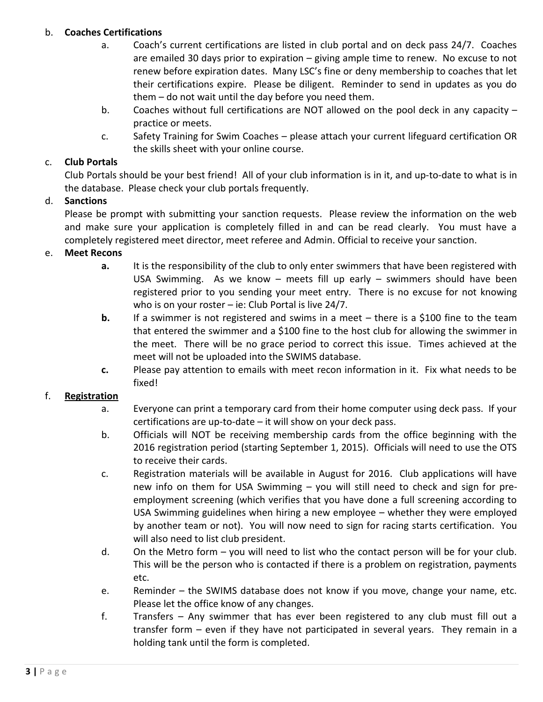### b. **Coaches Certifications**

- a. Coach's current certifications are listed in club portal and on deck pass 24/7. Coaches are emailed 30 days prior to expiration – giving ample time to renew. No excuse to not renew before expiration dates. Many LSC's fine or deny membership to coaches that let their certifications expire. Please be diligent. Reminder to send in updates as you do them – do not wait until the day before you need them.
- b. Coaches without full certifications are NOT allowed on the pool deck in any capacity practice or meets.
- c. Safety Training for Swim Coaches please attach your current lifeguard certification OR the skills sheet with your online course.

# c. **Club Portals**

Club Portals should be your best friend! All of your club information is in it, and up-to-date to what is in the database. Please check your club portals frequently.

# d. **Sanctions**

Please be prompt with submitting your sanction requests. Please review the information on the web and make sure your application is completely filled in and can be read clearly. You must have a completely registered meet director, meet referee and Admin. Official to receive your sanction.

### e. **Meet Recons**

- **a.** It is the responsibility of the club to only enter swimmers that have been registered with USA Swimming. As we know – meets fill up early – swimmers should have been registered prior to you sending your meet entry. There is no excuse for not knowing who is on your roster – ie: Club Portal is live 24/7.
- **b.** If a swimmer is not registered and swims in a meet there is a \$100 fine to the team that entered the swimmer and a \$100 fine to the host club for allowing the swimmer in the meet. There will be no grace period to correct this issue. Times achieved at the meet will not be uploaded into the SWIMS database.
- **c.** Please pay attention to emails with meet recon information in it. Fix what needs to be fixed!

### f. **Registration**

- a. Everyone can print a temporary card from their home computer using deck pass. If your certifications are up-to-date – it will show on your deck pass.
- b. Officials will NOT be receiving membership cards from the office beginning with the 2016 registration period (starting September 1, 2015). Officials will need to use the OTS to receive their cards.
- c. Registration materials will be available in August for 2016. Club applications will have new info on them for USA Swimming – you will still need to check and sign for preemployment screening (which verifies that you have done a full screening according to USA Swimming guidelines when hiring a new employee – whether they were employed by another team or not). You will now need to sign for racing starts certification. You will also need to list club president.
- d. On the Metro form you will need to list who the contact person will be for your club. This will be the person who is contacted if there is a problem on registration, payments etc.
- e. Reminder the SWIMS database does not know if you move, change your name, etc. Please let the office know of any changes.
- f. Transfers Any swimmer that has ever been registered to any club must fill out a transfer form – even if they have not participated in several years. They remain in a holding tank until the form is completed.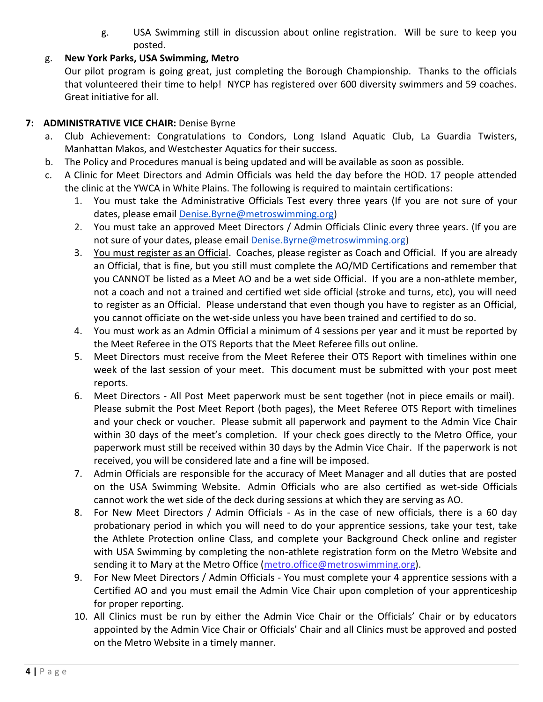g. USA Swimming still in discussion about online registration. Will be sure to keep you posted.

# g. **New York Parks, USA Swimming, Metro**

Our pilot program is going great, just completing the Borough Championship. Thanks to the officials that volunteered their time to help! NYCP has registered over 600 diversity swimmers and 59 coaches. Great initiative for all.

# **7: ADMINISTRATIVE VICE CHAIR:** Denise Byrne

- a. Club Achievement: Congratulations to Condors, Long Island Aquatic Club, La Guardia Twisters, Manhattan Makos, and Westchester Aquatics for their success.
- b. The Policy and Procedures manual is being updated and will be available as soon as possible.
- c. A Clinic for Meet Directors and Admin Officials was held the day before the HOD. 17 people attended the clinic at the YWCA in White Plains. The following is required to maintain certifications:
	- 1. You must take the Administrative Officials Test every three years (If you are not sure of your dates, please email [Denise.Byrne@metroswimming.org\)](mailto:Denise.Byrne@metroswimming.org)
	- 2. You must take an approved Meet Directors / Admin Officials Clinic every three years. (If you are not sure of your dates, please email [Denise.Byrne@metroswimming.org\)](mailto:Denise.Byrne@metroswimming.org)
	- 3. You must register as an Official. Coaches, please register as Coach and Official. If you are already an Official, that is fine, but you still must complete the AO/MD Certifications and remember that you CANNOT be listed as a Meet AO and be a wet side Official. If you are a non-athlete member, not a coach and not a trained and certified wet side official (stroke and turns, etc), you will need to register as an Official. Please understand that even though you have to register as an Official, you cannot officiate on the wet-side unless you have been trained and certified to do so.
	- 4. You must work as an Admin Official a minimum of 4 sessions per year and it must be reported by the Meet Referee in the OTS Reports that the Meet Referee fills out online.
	- 5. Meet Directors must receive from the Meet Referee their OTS Report with timelines within one week of the last session of your meet. This document must be submitted with your post meet reports.
	- 6. Meet Directors All Post Meet paperwork must be sent together (not in piece emails or mail). Please submit the Post Meet Report (both pages), the Meet Referee OTS Report with timelines and your check or voucher. Please submit all paperwork and payment to the Admin Vice Chair within 30 days of the meet's completion. If your check goes directly to the Metro Office, your paperwork must still be received within 30 days by the Admin Vice Chair. If the paperwork is not received, you will be considered late and a fine will be imposed.
	- 7. Admin Officials are responsible for the accuracy of Meet Manager and all duties that are posted on the USA Swimming Website. Admin Officials who are also certified as wet-side Officials cannot work the wet side of the deck during sessions at which they are serving as AO.
	- 8. For New Meet Directors / Admin Officials As in the case of new officials, there is a 60 day probationary period in which you will need to do your apprentice sessions, take your test, take the Athlete Protection online Class, and complete your Background Check online and register with USA Swimming by completing the non-athlete registration form on the Metro Website and sending it to Mary at the Metro Office [\(metro.office@metroswimming.org\)](mailto:metro.office@metroswimming.org).
	- 9. For New Meet Directors / Admin Officials You must complete your 4 apprentice sessions with a Certified AO and you must email the Admin Vice Chair upon completion of your apprenticeship for proper reporting.
	- 10. All Clinics must be run by either the Admin Vice Chair or the Officials' Chair or by educators appointed by the Admin Vice Chair or Officials' Chair and all Clinics must be approved and posted on the Metro Website in a timely manner.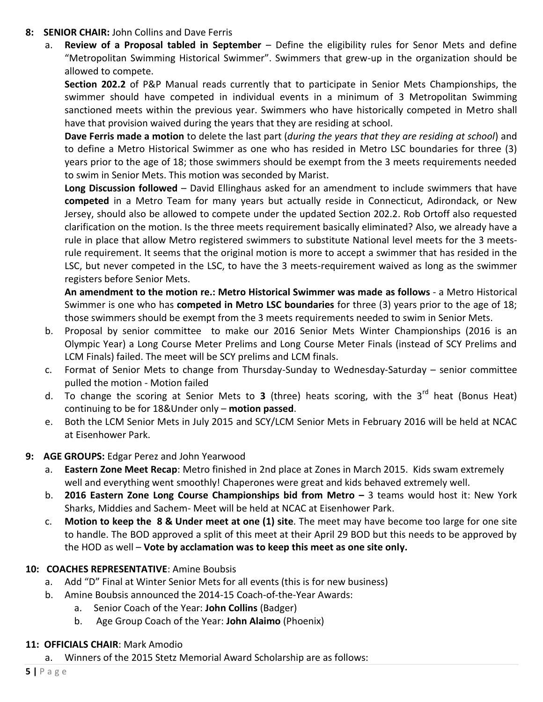- **8: SENIOR CHAIR:** John Collins and Dave Ferris
	- a. **Review of a Proposal tabled in September** Define the eligibility rules for Senor Mets and define "Metropolitan Swimming Historical Swimmer". Swimmers that grew-up in the organization should be allowed to compete.

**Section 202.2** of P&P Manual reads currently that to participate in Senior Mets Championships, the swimmer should have competed in individual events in a minimum of 3 Metropolitan Swimming sanctioned meets within the previous year. Swimmers who have historically competed in Metro shall have that provision waived during the years that they are residing at school.

**Dave Ferris made a motion** to delete the last part (*during the years that they are residing at school*) and to define a Metro Historical Swimmer as one who has resided in Metro LSC boundaries for three (3) years prior to the age of 18; those swimmers should be exempt from the 3 meets requirements needed to swim in Senior Mets. This motion was seconded by Marist.

**Long Discussion followed** – David Ellinghaus asked for an amendment to include swimmers that have **competed** in a Metro Team for many years but actually reside in Connecticut, Adirondack, or New Jersey, should also be allowed to compete under the updated Section 202.2. Rob Ortoff also requested clarification on the motion. Is the three meets requirement basically eliminated? Also, we already have a rule in place that allow Metro registered swimmers to substitute National level meets for the 3 meetsrule requirement. It seems that the original motion is more to accept a swimmer that has resided in the LSC, but never competed in the LSC, to have the 3 meets-requirement waived as long as the swimmer registers before Senior Mets.

**An amendment to the motion re.: Metro Historical Swimmer was made as follows** - a Metro Historical Swimmer is one who has **competed in Metro LSC boundaries** for three (3) years prior to the age of 18; those swimmers should be exempt from the 3 meets requirements needed to swim in Senior Mets.

- b. Proposal by senior committee to make our 2016 Senior Mets Winter Championships (2016 is an Olympic Year) a Long Course Meter Prelims and Long Course Meter Finals (instead of SCY Prelims and LCM Finals) failed. The meet will be SCY prelims and LCM finals.
- c. Format of Senior Mets to change from Thursday-Sunday to Wednesday-Saturday senior committee pulled the motion - Motion failed
- d. To change the scoring at Senior Mets to **3** (three) heats scoring, with the 3rd heat (Bonus Heat) continuing to be for 18&Under only – **motion passed**.
- e. Both the LCM Senior Mets in July 2015 and SCY/LCM Senior Mets in February 2016 will be held at NCAC at Eisenhower Park.
- **9: AGE GROUPS:** Edgar Perez and John Yearwood
	- a. **Eastern Zone Meet Recap**: Metro finished in 2nd place at Zones in March 2015. Kids swam extremely well and everything went smoothly! Chaperones were great and kids behaved extremely well.
	- b. **2016 Eastern Zone Long Course Championships bid from Metro –** 3 teams would host it: New York Sharks, Middies and Sachem- Meet will be held at NCAC at Eisenhower Park.
	- c. **Motion to keep the 8 & Under meet at one (1) site**. The meet may have become too large for one site to handle. The BOD approved a split of this meet at their April 29 BOD but this needs to be approved by the HOD as well – **Vote by acclamation was to keep this meet as one site only.**

### **10: COACHES REPRESENTATIVE**: Amine Boubsis

- a. Add "D" Final at Winter Senior Mets for all events (this is for new business)
- b. Amine Boubsis announced the 2014-15 Coach-of-the-Year Awards:
	- a. Senior Coach of the Year: **John Collins** (Badger)
	- b. Age Group Coach of the Year: **John Alaimo** (Phoenix)

# **11: OFFICIALS CHAIR**: Mark Amodio

a. Winners of the 2015 Stetz Memorial Award Scholarship are as follows: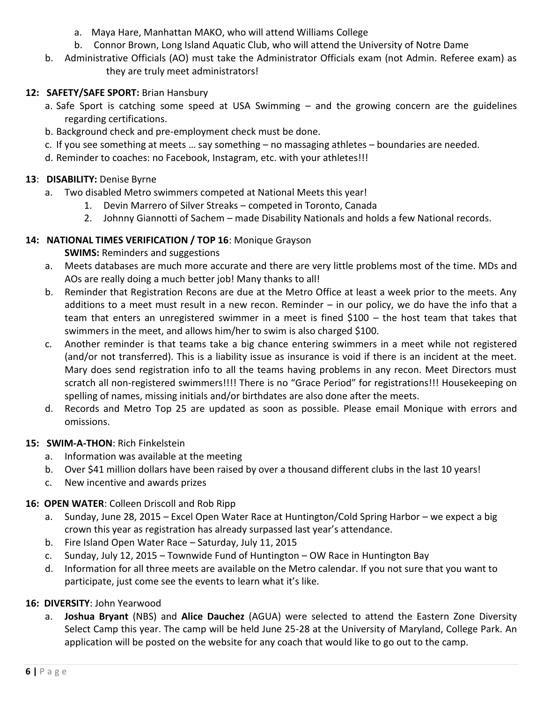- a. Maya Hare, Manhattan MAKO, who will attend Williams College
- b. Connor Brown, Long Island Aquatic Club, who will attend the University of Notre Dame
- b. Administrative Officials (AO) must take the Administrator Officials exam (not Admin. Referee exam) as they are truly meet administrators!

# **12: SAFETY/SAFE SPORT:** Brian Hansbury

- a. Safe Sport is catching some speed at USA Swimming and the growing concern are the guidelines regarding certifications.
- b. Background check and pre-employment check must be done.
- c. If you see something at meets … say something no massaging athletes boundaries are needed.
- d. Reminder to coaches: no Facebook, Instagram, etc. with your athletes!!!

# **13**: **DISABILITY:** Denise Byrne

- a. Two disabled Metro swimmers competed at National Meets this year!
	- 1. Devin Marrero of Silver Streaks competed in Toronto, Canada
	- 2. Johnny Giannotti of Sachem made Disability Nationals and holds a few National records.

# **14: NATIONAL TIMES VERIFICATION / TOP 16**: Monique Grayson

**SWIMS:** Reminders and suggestions

- a. Meets databases are much more accurate and there are very little problems most of the time. MDs and AOs are really doing a much better job! Many thanks to all!
- b. Reminder that Registration Recons are due at the Metro Office at least a week prior to the meets. Any additions to a meet must result in a new recon. Reminder – in our policy, we do have the info that a team that enters an unregistered swimmer in a meet is fined \$100 – the host team that takes that swimmers in the meet, and allows him/her to swim is also charged \$100.
- c. Another reminder is that teams take a big chance entering swimmers in a meet while not registered (and/or not transferred). This is a liability issue as insurance is void if there is an incident at the meet. Mary does send registration info to all the teams having problems in any recon. Meet Directors must scratch all non-registered swimmers!!!! There is no "Grace Period" for registrations!!! Housekeeping on spelling of names, missing initials and/or birthdates are also done after the meets.
- d. Records and Metro Top 25 are updated as soon as possible. Please email Monique with errors and omissions.

# **15: SWIM-A-THON**: Rich Finkelstein

- a. Information was available at the meeting
- b. Over \$41 million dollars have been raised by over a thousand different clubs in the last 10 years!
- c. New incentive and awards prizes

# **16: OPEN WATER**: Colleen Driscoll and Rob Ripp

- a. Sunday, June 28, 2015 Excel Open Water Race at Huntington/Cold Spring Harbor we expect a big crown this year as registration has already surpassed last year's attendance.
- b. Fire Island Open Water Race Saturday, July 11, 2015
- c. Sunday, July 12, 2015 Townwide Fund of Huntington OW Race in Huntington Bay
- d. Information for all three meets are available on the Metro calendar. If you not sure that you want to participate, just come see the events to learn what it's like.

### **16: DIVERSITY**: John Yearwood

a. **Joshua Bryant** (NBS) and **Alice Dauchez** (AGUA) were selected to attend the Eastern Zone Diversity Select Camp this year. The camp will be held June 25-28 at the University of Maryland, College Park. An application will be posted on the website for any coach that would like to go out to the camp.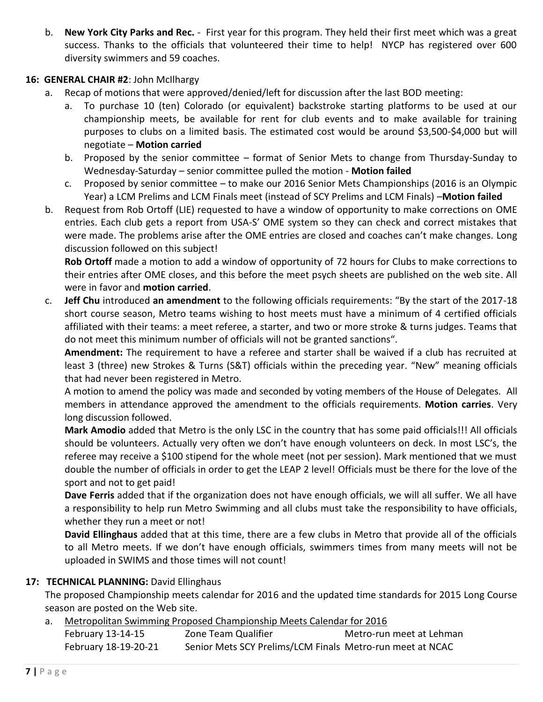b. **New York City Parks and Rec.** - First year for this program. They held their first meet which was a great success. Thanks to the officials that volunteered their time to help! NYCP has registered over 600 diversity swimmers and 59 coaches.

### **16: GENERAL CHAIR #2**: John McIlhargy

- a. Recap of motions that were approved/denied/left for discussion after the last BOD meeting:
	- a. To purchase 10 (ten) Colorado (or equivalent) backstroke starting platforms to be used at our championship meets, be available for rent for club events and to make available for training purposes to clubs on a limited basis. The estimated cost would be around \$3,500-\$4,000 but will negotiate – **Motion carried**
	- b. Proposed by the senior committee format of Senior Mets to change from Thursday-Sunday to Wednesday-Saturday – senior committee pulled the motion - **Motion failed**
	- c. Proposed by senior committee to make our 2016 Senior Mets Championships (2016 is an Olympic Year) a LCM Prelims and LCM Finals meet (instead of SCY Prelims and LCM Finals) –**Motion failed**
- b. Request from Rob Ortoff (LIE) requested to have a window of opportunity to make corrections on OME entries. Each club gets a report from USA-S' OME system so they can check and correct mistakes that were made. The problems arise after the OME entries are closed and coaches can't make changes. Long discussion followed on this subject!

**Rob Ortoff** made a motion to add a window of opportunity of 72 hours for Clubs to make corrections to their entries after OME closes, and this before the meet psych sheets are published on the web site. All were in favor and **motion carried**.

c. **Jeff Chu** introduced **an amendment** to the following officials requirements: "By the start of the 2017-18 short course season, Metro teams wishing to host meets must have a minimum of 4 certified officials affiliated with their teams: a meet referee, a starter, and two or more stroke & turns judges. Teams that do not meet this minimum number of officials will not be granted sanctions".

**Amendment:** The requirement to have a referee and starter shall be waived if a club has recruited at least 3 (three) new Strokes & Turns (S&T) officials within the preceding year. "New" meaning officials that had never been registered in Metro.

A motion to amend the policy was made and seconded by voting members of the House of Delegates. All members in attendance approved the amendment to the officials requirements. **Motion carries**. Very long discussion followed.

**Mark Amodio** added that Metro is the only LSC in the country that has some paid officials!!! All officials should be volunteers. Actually very often we don't have enough volunteers on deck. In most LSC's, the referee may receive a \$100 stipend for the whole meet (not per session). Mark mentioned that we must double the number of officials in order to get the LEAP 2 level! Officials must be there for the love of the sport and not to get paid!

**Dave Ferris** added that if the organization does not have enough officials, we will all suffer. We all have a responsibility to help run Metro Swimming and all clubs must take the responsibility to have officials, whether they run a meet or not!

**David Ellinghaus** added that at this time, there are a few clubs in Metro that provide all of the officials to all Metro meets. If we don't have enough officials, swimmers times from many meets will not be uploaded in SWIMS and those times will not count!

### **17: TECHNICAL PLANNING:** David Ellinghaus

The proposed Championship meets calendar for 2016 and the updated time standards for 2015 Long Course season are posted on the Web site.

#### a. Metropolitan Swimming Proposed Championship Meets Calendar for 2016

| February 13-14-15    | Zone Team Qualifier                                       | Metro-run meet at Lehman |
|----------------------|-----------------------------------------------------------|--------------------------|
| February 18-19-20-21 | Senior Mets SCY Prelims/LCM Finals Metro-run meet at NCAC |                          |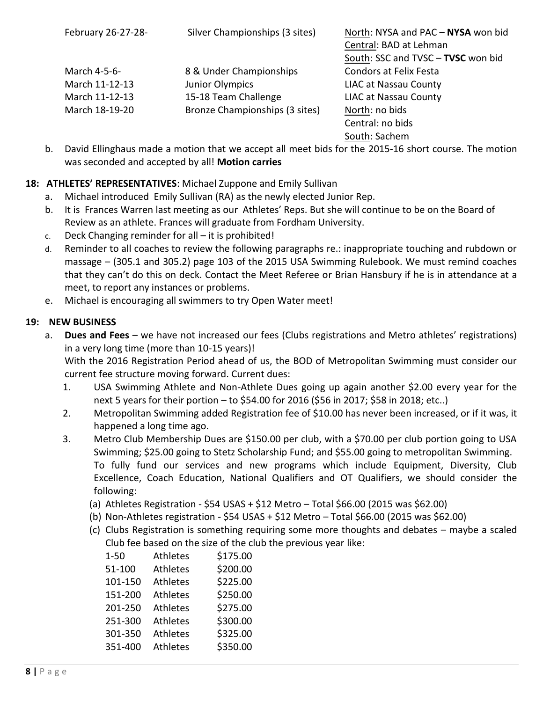| February 26-27-28- | Silver Championships (3 sites) | North: NYSA and PAC - NYSA won bid |
|--------------------|--------------------------------|------------------------------------|
|                    |                                | Central: BAD at Lehman             |
|                    |                                | South: SSC and TVSC - TVSC won bid |
| March 4-5-6-       | 8 & Under Championships        | <b>Condors at Felix Festa</b>      |
| March 11-12-13     | Junior Olympics                | <b>LIAC at Nassau County</b>       |
| March 11-12-13     | 15-18 Team Challenge           | <b>LIAC at Nassau County</b>       |
| March 18-19-20     | Bronze Championships (3 sites) | North: no bids                     |
|                    |                                | Central: no bids                   |
|                    |                                | South: Sachem                      |

b. David Ellinghaus made a motion that we accept all meet bids for the 2015-16 short course. The motion was seconded and accepted by all! **Motion carries**

# **18: ATHLETES' REPRESENTATIVES**: Michael Zuppone and Emily Sullivan

- a. Michael introduced Emily Sullivan (RA) as the newly elected Junior Rep.
- b. It is Frances Warren last meeting as our Athletes' Reps. But she will continue to be on the Board of Review as an athlete. Frances will graduate from Fordham University.
- c. Deck Changing reminder for all it is prohibited!
- d. Reminder to all coaches to review the following paragraphs re.: inappropriate touching and rubdown or massage – (305.1 and 305.2) page 103 of the 2015 USA Swimming Rulebook. We must remind coaches that they can't do this on deck. Contact the Meet Referee or Brian Hansbury if he is in attendance at a meet, to report any instances or problems.
- e. Michael is encouraging all swimmers to try Open Water meet!

# **19: NEW BUSINESS**

a. **Dues and Fees** – we have not increased our fees (Clubs registrations and Metro athletes' registrations) in a very long time (more than 10-15 years)!

With the 2016 Registration Period ahead of us, the BOD of Metropolitan Swimming must consider our current fee structure moving forward. Current dues:

- 1. USA Swimming Athlete and Non-Athlete Dues going up again another \$2.00 every year for the next 5 years for their portion – to \$54.00 for 2016 (\$56 in 2017; \$58 in 2018; etc..)
- 2. Metropolitan Swimming added Registration fee of \$10.00 has never been increased, or if it was, it happened a long time ago.
- 3. Metro Club Membership Dues are \$150.00 per club, with a \$70.00 per club portion going to USA Swimming; \$25.00 going to Stetz Scholarship Fund; and \$55.00 going to metropolitan Swimming. To fully fund our services and new programs which include Equipment, Diversity, Club Excellence, Coach Education, National Qualifiers and OT Qualifiers, we should consider the following:
	- (a) Athletes Registration \$54 USAS + \$12 Metro Total \$66.00 (2015 was \$62.00)
	- (b) Non-Athletes registration \$54 USAS + \$12 Metro Total \$66.00 (2015 was \$62.00)
	- (c) Clubs Registration is something requiring some more thoughts and debates maybe a scaled Club fee based on the size of the club the previous year like:

| Athletes        | \$175.00 |
|-----------------|----------|
| Athletes        | \$200.00 |
| Athletes        | \$225.00 |
| Athletes        | \$250.00 |
| Athletes        | \$275.00 |
| Athletes        | \$300.00 |
| Athletes        | \$325.00 |
| <b>Athletes</b> | \$350.00 |
|                 |          |